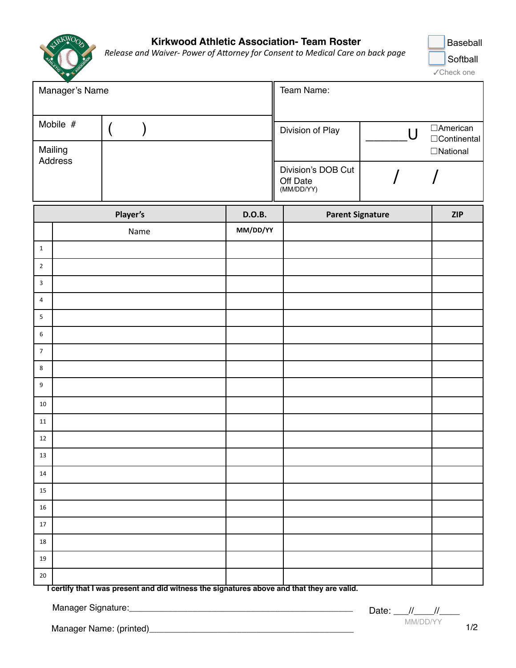

## **Kirkwood Athletic Association- Team Roster**

*Release and Waiver-Power of Attorney for Consent to Medical Care on back page* 



| Manager's Name                 |  | Team Name:                                   |  |                                        |
|--------------------------------|--|----------------------------------------------|--|----------------------------------------|
| Mobile #<br>Mailing<br>Address |  | Division of Play                             |  | □American<br>□Continental<br>□National |
|                                |  | Division's DOB Cut<br>Off Date<br>(MM/DD/YY) |  |                                        |

|                  | Player's | <b>D.O.B.</b> | <b>Parent Signature</b> | <b>ZIP</b> |
|------------------|----------|---------------|-------------------------|------------|
|                  | Name     | MM/DD/YY      |                         |            |
| $\mathbf 1$      |          |               |                         |            |
| $\mathbf 2$      |          |               |                         |            |
| $\overline{3}$   |          |               |                         |            |
| $\overline{4}$   |          |               |                         |            |
| $\overline{5}$   |          |               |                         |            |
| $\boldsymbol{6}$ |          |               |                         |            |
| $\overline{7}$   |          |               |                         |            |
| $\,8\,$          |          |               |                         |            |
| $\boldsymbol{9}$ |          |               |                         |            |
| $10\,$           |          |               |                         |            |
| $11\,$           |          |               |                         |            |
| $12\,$           |          |               |                         |            |
| $13\,$           |          |               |                         |            |
| $14\,$           |          |               |                         |            |
| 15               |          |               |                         |            |
| $16\,$           |          |               |                         |            |
| $17\,$           |          |               |                         |            |
| $18\,$           |          |               |                         |            |
| $19\,$           |          |               |                         |            |
| $20\,$           |          |               |                         |            |

**I certify that I was present and did witness the signatures above and that they are valid.**

Manager Signature:\_\_\_\_\_\_\_\_\_\_\_\_\_\_\_\_\_\_\_\_\_\_\_\_\_\_\_\_\_\_\_\_\_\_\_\_\_\_\_\_\_\_\_\_\_\_

MM/DD/YY Date:  $\frac{1}{2}$  //

Manager Name: (printed)\_\_\_\_\_\_\_\_\_\_\_\_\_\_\_\_\_\_\_\_\_\_\_\_\_\_\_\_\_\_\_\_\_\_\_\_\_\_\_\_\_\_